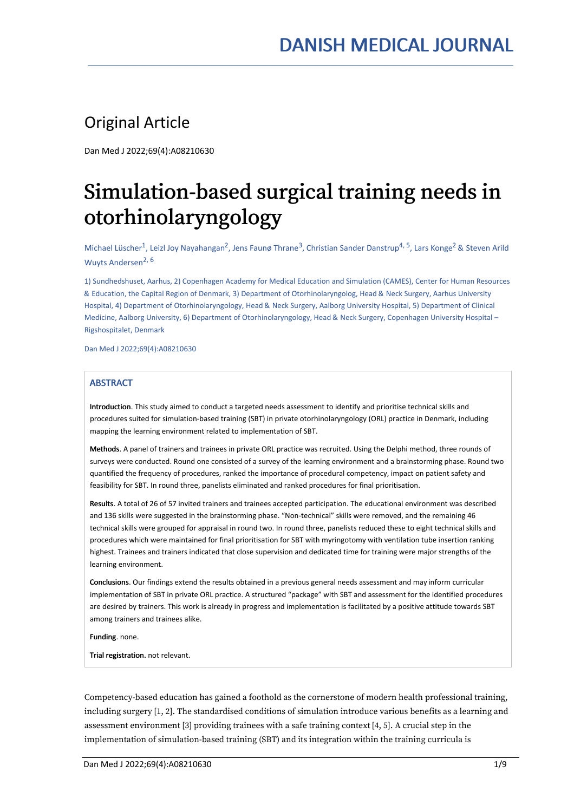# Original Article

Dan Med J 2022;69(4):A08210630

# Simulation-based surgical training needs in otorhinolaryngology

Michael Lüscher<sup>1</sup>, Leizl Joy Nayahangan<sup>2</sup>, Jens Faunø Thrane<sup>3</sup>, Christian Sander Danstrup<sup>4, 5</sup>, Lars Konge<sup>2</sup> & Steven Arild Wuyts Andersen 2, 6

1) Sundhedshuset, Aarhus, 2) Copenhagen Academy for Medical Education and Simulation (CAMES), Center for Human Resources & Education, the Capital Region ofDenmark, 3) Department of Otorhinolaryngolog, Head & Neck Surgery, Aarhus University Hospital, 4) Department of Otorhinolaryngology, Head & Neck Surgery, Aalborg University Hospital, 5) Department of Clinical Medicine, Aalborg University, 6) Department of Otorhinolaryngology, Head & Neck Surgery, Copenhagen University Hospital – Rigshospitalet, Denmark

Dan Med J 2022;69(4):A08210630

# **ABSTRACT**

Introduction. This study aimed to conduct a targeted needs assessment to identify and prioritise technical skills and procedures suited for simulation-based training (SBT) in private otorhinolaryngology (ORL) practice in Denmark, including mapping the learning environment related to implementation of SBT.

Methods. A panel of trainers and trainees in private ORL practice was recruited. Using the Delphi method, three rounds of surveys were conducted. Round one consisted of a survey of the learning environment and a brainstorming phase. Round two quantified the frequency of procedures, ranked the importance of procedural competency, impact on patient safety and feasibility for SBT. In round three, panelists eliminated and ranked procedures for final prioritisation.

Results. A total of 26 of 57 invited trainers and trainees accepted participation. The educational environment was described and 136 skills were suggested in the brainstorming phase. "Non-technical" skills were removed, and the remaining 46 technical skills were grouped for appraisal in round two. In round three, panelists reduced these to eight technical skills and procedures which were maintained for final prioritisation for SBT with myringotomy with ventilation tube insertion ranking highest. Trainees and trainers indicated that close supervision and dedicated time for training were major strengths of the learning environment.

Conclusions. Our findings extend the results obtained in a previous general needs assessment and may inform curricular implementation of SBT in private ORL practice. A structured "package" with SBT and assessment for the identified procedures are desired by trainers. This work is already in progress and implementation is facilitated by a positive attitude towards SBT among trainers and trainees alike.

Funding. none.

Trial registration. not relevant.

Competency-based education has gained a foothold as the cornerstone of modern health professional training, including surgery [1, 2]. The standardised conditions of simulation introduce various benefits as a learning and assessment environment [3] providing trainees with a safe training context [4, 5]. A crucial step in the implementation of simulation-based training (SBT) and its integration within the training curricula is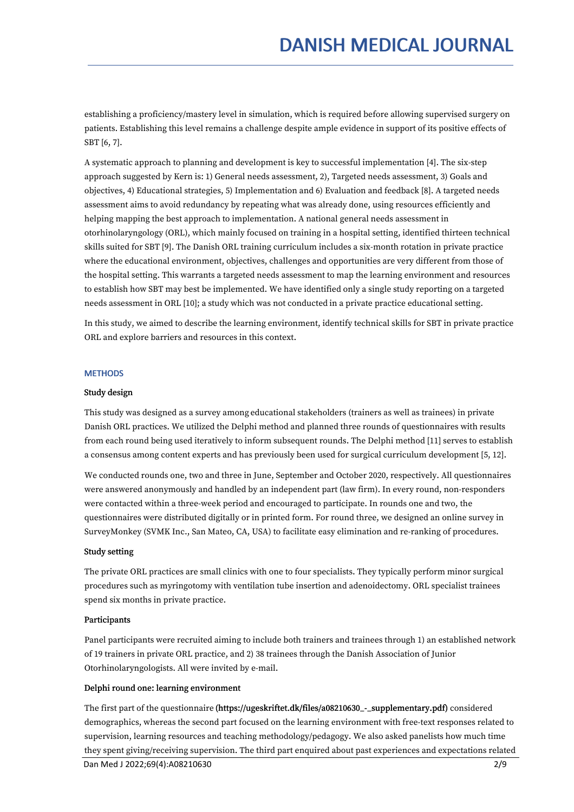establishing a proficiency/mastery level in simulation, which is required before allowing supervised surgery on patients. Establishing this level remains a challenge despite ample evidence in support of its positive effects of SBT [6, 7].

A systematic approach to planning and development is key to successful implementation [4]. The six-step approach suggested by Kern is: 1) General needs assessment, 2), Targeted needs assessment, 3) Goals and objectives, 4) Educational strategies, 5) Implementation and 6)Evaluation and feedback [8]. A targeted needs assessment aims to avoid redundancy by repeating what was already done, using resources efficiently and helping mapping the best approach to implementation. A national general needs assessment in otorhinolaryngology (ORL), which mainly focused on training in a hospital setting, identified thirteen technical skills suited for SBT [9]. The Danish ORL training curriculum includes a six-month rotation in private practice where the educational environment, objectives, challenges and opportunities are very different from those of the hospital setting. This warrants a targeted needs assessment to map the learning environment and resources to establish how SBT may best be implemented. We have identified only a single study reporting on a targeted needs assessment in ORL [10]; a study which was not conducted in a private practice educational setting.

In this study, we aimed to describe the learning environment, identify technical skills for SBT in private practice ORL and explore barriers and resources in this context.

#### **METHODS**

#### Study design

This study was designed as a survey among educational stakeholders (trainers as well as trainees) in private Danish ORL practices. We utilized the Delphi method and planned three rounds of questionnaires with results from each round being used iteratively to inform subsequent rounds. The Delphi method [11] serves to establish a consensus among content experts and has previously been used for surgical curriculum development [5, 12].

We conducted rounds one, two and three in June, September and October 2020, respectively. All questionnaires were answered anonymously and handled by an independent part (law firm). In every round, non-responders were contacted within a three-week period and encouraged to participate. In rounds one and two, the questionnaires were distributed digitally or in printed form. For round three, we designed an online survey in SurveyMonkey (SVMK Inc., San Mateo, CA, USA) to facilitate easy elimination and re-ranking of procedures.

#### Study setting

The private ORL practices are small clinics with one to four specialists. They typically perform minor surgical procedures such as myringotomy with ventilation tube insertion and adenoidectomy. ORL specialist trainees spend six months in private practice.

#### Participants

Panel participants were recruited aiming to include both trainers and trainees through 1) an established network of 19 trainers in private ORL practice, and 2)38 trainees through the Danish Association of Junior Otorhinolaryngologists. All were invited by e-mail.

#### Delphi round one: learning environment

The first part of the questionnaire (https://ugeskriftet.dk/files/a08210630\_-\_supplementary.pdf) considered demographics, whereas the second part focused on the learning environment with free-text responses related to supervision, learning resources and teaching methodology/pedagogy. We also asked panelists how much time they spent giving/receiving supervision. The third part enquired about past experiences and expectations related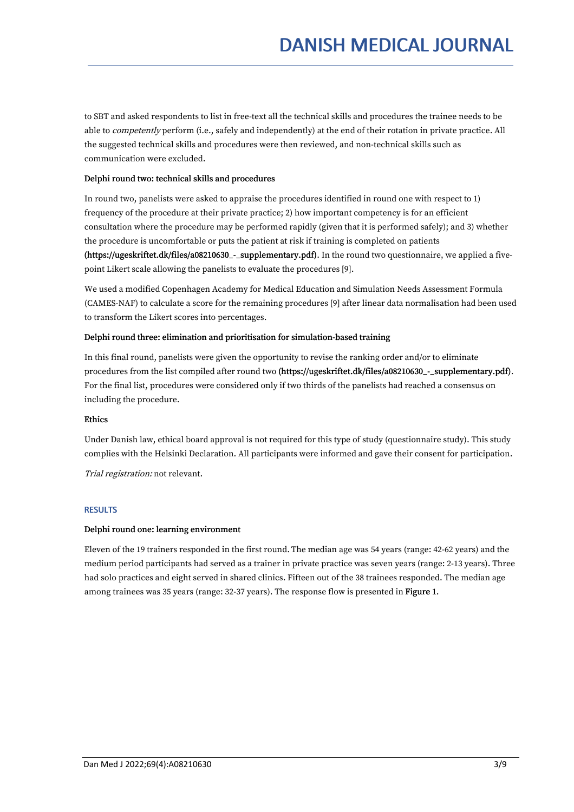to SBT and asked respondents to list in free-text all the technical skills and procedures the trainee needs to be able to *competently* perform (i.e., safely and independently) at the end of their rotation in private practice. All the suggested technical skills and procedures were then reviewed, and non-technical skills such as communication were excluded.

# Delphi round two: technical skills and procedures

In round two, panelists were asked to appraise the procedures identified in round one with respect to 1) frequency of the procedure at their private practice; 2) how important competency is for an efficient consultation where the procedure may be performed rapidly (given that it is performed safely); and 3) whether the procedure is uncomfortable or puts the patient at risk if training is completed on patients (https://ugeskriftet.dk/files/a08210630\_-\_supplementary.pdf). In the round two questionnaire, we applied a five point Likert scale allowing the panelists to evaluate the procedures [9].

We used a modified Copenhagen Academy for Medical Education and Simulation Needs Assessment Formula (CAMES-NAF) to calculate a score for the remaining procedures [9] after linear data normalisation had been used to transform the Likert scores into percentages.

# Delphi round three: elimination and prioritisation for simulation-based training

In this final round, panelists were given the opportunity to revise the ranking order and/or to eliminate procedures from the list compiled after round two (https://ugeskriftet.dk/files/a08210630\_-\_supplementary.pdf). For the final list, procedures were considered only if two thirds of the panelists had reached a consensus on including the procedure.

# Ethics

Under Danish law, ethical board approval is not required for this type of study (questionnaire study). This study complies with the Helsinki Declaration. All participants were informed and gave their consent for participation.

Trial registration: not relevant.

# **RESULTS**

# Delphi round one: learning environment

Eleven of the 19 trainers responded in the first round. The median age was 54 years (range: 42-62 years) and the medium period participants had served as a trainer in private practice was seven years (range: 2-13 years). Three had solo practices and eight served in shared clinics. Fifteen out of the 38 trainees responded. The median age among trainees was 35 years (range: 32-37 years). The response flow is presented in Figure 1.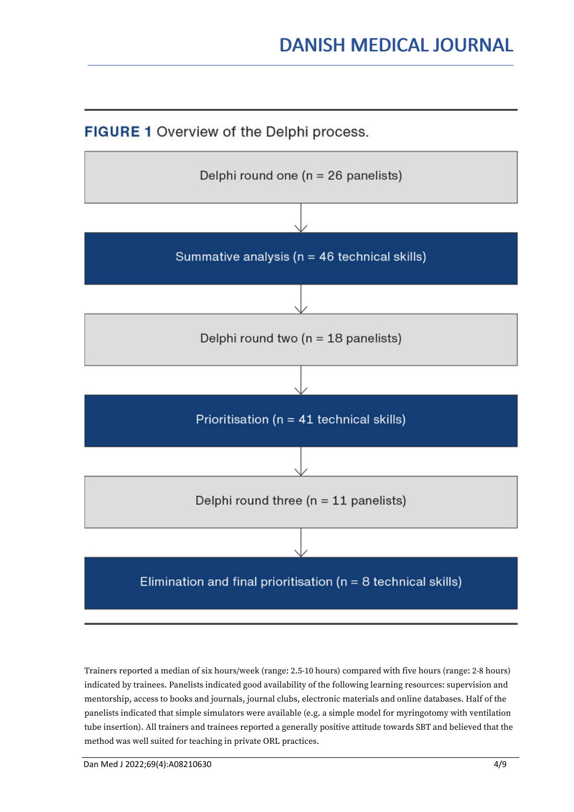**FIGURE 1** Overview of the Delphi process.



Trainers reported a median of six hours/week (range: 2.5-10 hours) compared with five hours (range: 2-8 hours) indicated by trainees. Panelists indicated good availability of the following learning resources: supervision and mentorship, access to books and journals, journal clubs, electronic materials and online databases. Half of the panelists indicated that simple simulators were available (e.g. a simple model for myringotomy with ventilation tube insertion). All trainers and trainees reported a generally positive attitude towards SBT and believed that the method was well suited for teaching in private ORL practices.

Dan Med J 2022;69(4):A08210630 4/9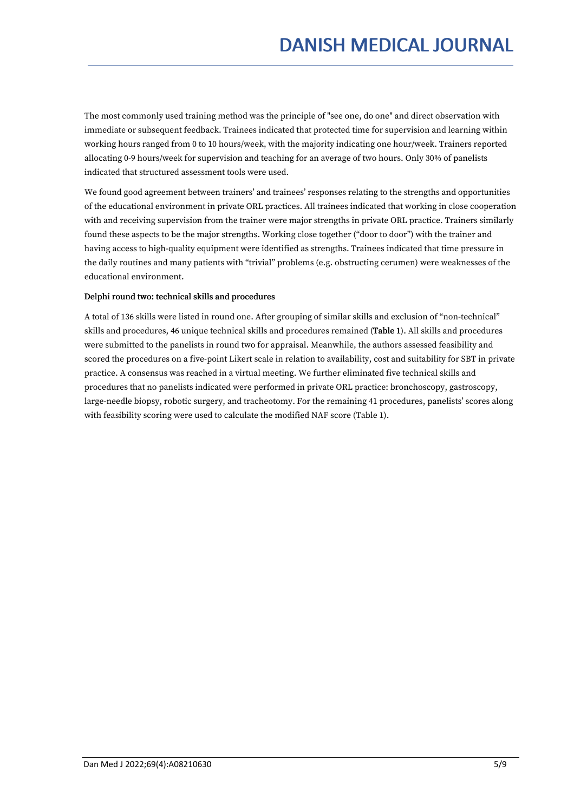The most commonly used training method was the principle of "see one, do one" and direct observation with immediate or subsequent feedback. Trainees indicated that protected time for supervision and learning within working hours ranged from 0 to 10 hours/week, with the majority indicating one hour/week. Trainers reported allocating 0-9 hours/week for supervision and teaching for an average of two hours. Only 30% of panelists indicated that structured assessment tools were used.

We found good agreement between trainers' and trainees' responses relating to the strengths and opportunities of the educational environment in private ORL practices. All trainees indicated that working in close cooperation with and receiving supervision from the trainer were major strengths in private ORL practice. Trainers similarly found these aspects to be the major strengths. Working close together ("door to door") with the trainer and having access to high-quality equipment were identified as strengths. Trainees indicated that time pressure in the daily routines and many patients with "trivial" problems (e.g. obstructing cerumen) were weaknesses of the educational environment.

# Delphi round two: technical skills and procedures

A total of 136 skills were listed in round one. After grouping of similar skills and exclusion of "non-technical" skills and procedures, 46 unique technical skills and procedures remained (Table 1). All skills and procedures were submitted to the panelists in round two for appraisal. Meanwhile, the authors assessed feasibility and scored the procedures on a five-point Likert scale in relation to availability, cost and suitability for SBT in private practice. A consensus was reached in a virtual meeting. We further eliminated five technical skills and procedures that no panelists indicated were performed in private ORL practice: bronchoscopy, gastroscopy, large-needle biopsy, robotic surgery, and tracheotomy. For the remaining 41 procedures, panelists' scores along with feasibility scoring were used to calculate the modified NAF score (Table 1).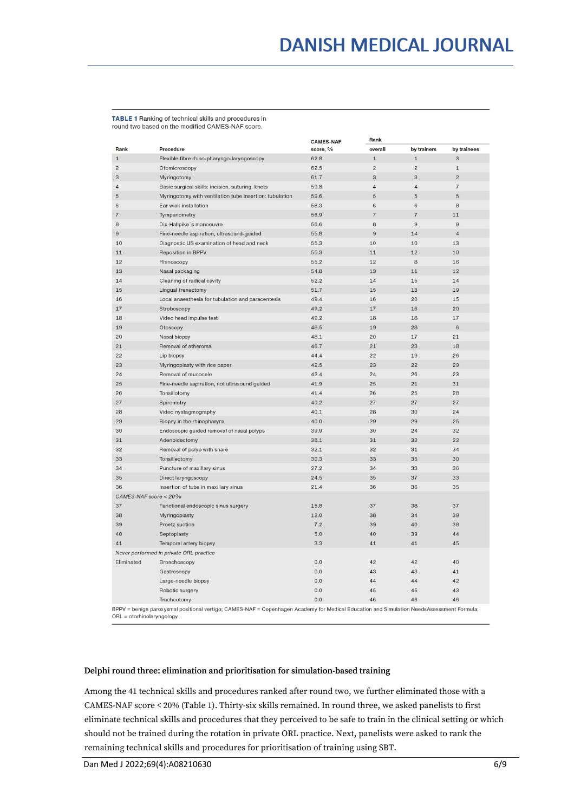TABLE 1 Ranking of technical skills and procedures in round two based on the modified CAMES-NAF score.

|                                         |                                                                                                                                           | <b>CAMES-NAF</b> | Rank           |                |                |  |
|-----------------------------------------|-------------------------------------------------------------------------------------------------------------------------------------------|------------------|----------------|----------------|----------------|--|
| Rank                                    | Procedure                                                                                                                                 | score, %         | overall        | by trainers    | by trainees    |  |
| $\mathbf 1$                             | Flexible fibre rhino-pharyngo-laryngoscopy                                                                                                | 62.8             | $\mathbf 1$    | $\mathbf{1}$   | 3              |  |
| $\overline{c}$                          | Otomicroscopy                                                                                                                             | 62.5             | $\overline{c}$ | $\overline{2}$ | $\mathtt{1}$   |  |
| 3                                       | Myringotomy                                                                                                                               | 61.7             | 3              | 3              | $\overline{2}$ |  |
| $\overline{4}$                          | Basic surgical skills: incision, suturing, knots                                                                                          | 59.8             | $\overline{4}$ | $\sqrt{4}$     | $\overline{7}$ |  |
| $\sqrt{5}$                              | Myringotomy with ventilation tube insertion: tubulation                                                                                   | 59.6             | 5              | $\sqrt{5}$     | 5              |  |
| $\,6$                                   | Ear wick installation                                                                                                                     | 58.3             | $\,6$          | $\,6$          | 8              |  |
| $\overline{\mathcal{I}}$                | Tympanometry                                                                                                                              | 56.9             | $\overline{7}$ | $\overline{7}$ | 11             |  |
| 8                                       | Dix-Hallpike's manoeuvre                                                                                                                  | 56.6             | 8              | $\mathsf g$    | $\mathsf g$    |  |
| $\mathsf g$                             | Fine-needle aspiration, ultrasound-guided                                                                                                 | 55.8             | $\overline{9}$ | 14             | $\overline{4}$ |  |
| 10                                      | Diagnostic US examination of head and neck                                                                                                | 55.3             | 10             | 10             | 13             |  |
| 11                                      | <b>Reposition in BPPV</b>                                                                                                                 | 55.3             | 11             | 12             | 10             |  |
| 12                                      | Rhinoscopy                                                                                                                                | 55.2             | 12             | 8              | 16             |  |
| 13                                      | Nasal packaging                                                                                                                           | 54.8             | 13             | 11             | 12             |  |
| 14                                      | Cleaning of radical cavity                                                                                                                | 52.2             | 14             | 15             | 14             |  |
| 15                                      | Lingual frenectomy                                                                                                                        | 51.7             | 15             | 13             | 19             |  |
| 16                                      | Local anaesthesia for tubulation and paracentesis                                                                                         | 49.4             | 16             | 20             | 15             |  |
| 17                                      | Stroboscopy                                                                                                                               | 49.2             | 17             | 16             | 20             |  |
| 18                                      | Video head impulse test                                                                                                                   | 49.2             | 18             | 18             | 17             |  |
| 19                                      | Otoscopy                                                                                                                                  | 48.5             | 19             | 28             | $\,6$          |  |
| 20                                      | Nasal biopsy                                                                                                                              | 48.1             | 20             | 17             | 21             |  |
| 21                                      | Removal of atheroma                                                                                                                       | 46.7             | 21             | 23             | 18             |  |
| 22                                      | Lip biopsy                                                                                                                                | 44.4             | 22             | 19             | 26             |  |
| 23                                      | Myringoplasty with rice paper                                                                                                             | 42.5             | 23             | 22             | 29             |  |
| 24                                      | Removal of mucocele                                                                                                                       | 42.4             | 24             | 26             | 23             |  |
| 25                                      | Fine-needle aspiration, not ultrasound guided                                                                                             | 41.9             | 25             | 21             | 31             |  |
| 26                                      |                                                                                                                                           | 41.4             | 26             | 25             | 28             |  |
| 27                                      | Tonsillotomy                                                                                                                              | 40.2             | 27             | 27             | 27             |  |
|                                         | Spirometry                                                                                                                                |                  |                |                |                |  |
| 28                                      | Video nystagmography                                                                                                                      | 40.1             | 28             | 30             | 24             |  |
| 29                                      | Biopsy in the rhinopharynx                                                                                                                | 40.0             | 29             | 29             | 25             |  |
| 30                                      | Endoscopic guided removal of nasal polyps                                                                                                 | 39.9             | 30             | 24             | 32             |  |
| 31                                      | Adenoidectomy                                                                                                                             | 38.1             | 31             | 32             | 22             |  |
| 32                                      | Removal of polyp with snare                                                                                                               | 32.1             | 32             | 31             | 34             |  |
| 33                                      | Tonsillectomy                                                                                                                             | 30.3             | 33             | 35             | 30             |  |
| 34                                      | Puncture of maxillary sinus                                                                                                               | 27.2             | 34             | 33             | 36             |  |
| 35                                      | Direct laryngoscopy                                                                                                                       | 24.5             | 35             | 37             | 33             |  |
| 36                                      | Insertion of tube in maxillary sinus                                                                                                      | 21.4             | 36             | 36             | 35             |  |
| CAMES-NAF score < 20%                   |                                                                                                                                           |                  |                |                |                |  |
| 37                                      | Functional endoscopic sinus surgery                                                                                                       | 15.8             | 37             | 38             | 37             |  |
| 38                                      | Myringoplasty                                                                                                                             | 12.0             | 38             | 34             | 39             |  |
| 39                                      | Proetz suction                                                                                                                            | 7.2              | 39             | 40             | 38             |  |
| 40                                      | Septoplasty                                                                                                                               | 5.0              | 40             | 39             | 44             |  |
| 41                                      | Temporal artery biopsy                                                                                                                    | 3.3              | 41             | 41             | 45             |  |
| Never performed in private ORL practice |                                                                                                                                           |                  |                |                |                |  |
| Eliminated                              | Bronchoscopy                                                                                                                              | 0.0              | 42             | 42             | 40             |  |
|                                         | Gastroscopy                                                                                                                               | 0.0              | 43             | 43             | 41             |  |
|                                         | Large-needle biopsy                                                                                                                       | 0.0              | 44             | 44             | 42             |  |
|                                         | Robotic surgery                                                                                                                           | 0.0              | 45             | 45             | 43             |  |
|                                         | Tracheotomy                                                                                                                               | 0.0              | 46             | 46             | 46             |  |
| $ORI = oforbinolarynology$              | BPPV = benign paroxysmal positional vertigo; CAMES-NAF = Copenhagen Academy for Medical Education and Simulation NeedsAssessment Formula; |                  |                |                |                |  |

#### Delphi round three: elimination and prioritisation for simulation-based training

Among the 41 technical skills and procedures ranked after round two, we further eliminated those with a CAMES-NAF score < 20% (Table 1). Thirty-six skills remained. In round three, we asked panelists to first eliminate technical skills and procedures that they perceived to be safe to train in the clinical setting or which should not be trained during the rotation in private ORL practice. Next, panelists were asked to rank the remaining technical skills and procedures for prioritisation of training using SBT.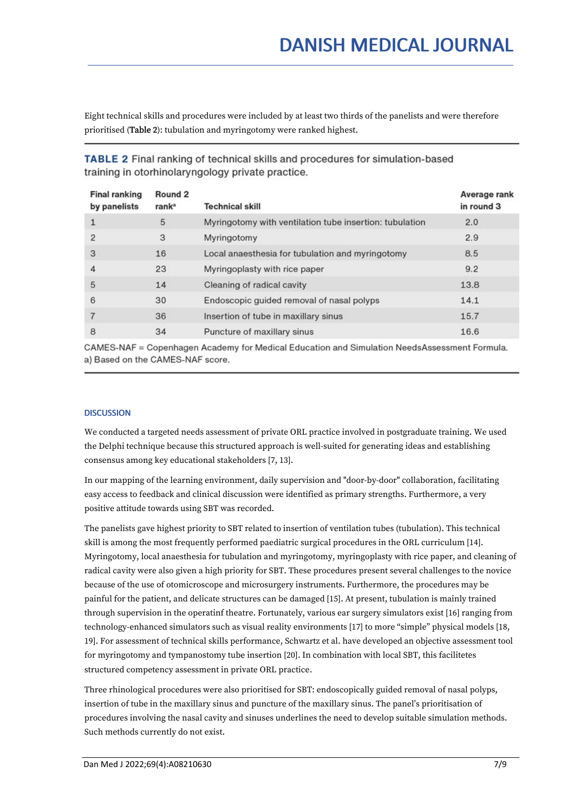Eight technical skills and procedures were included by at least two thirds of the panelists and were therefore prioritised (Table 2): tubulation and myringotomy were ranked highest.

| <b>Final ranking</b><br>by panelists | Round 2<br>rank <sup>a</sup> | <b>Technical skill</b>                                  | Average rank<br>in round 3 |
|--------------------------------------|------------------------------|---------------------------------------------------------|----------------------------|
| 1                                    | 5                            | Myringotomy with ventilation tube insertion: tubulation | 2.0                        |
| $\overline{2}$                       | 3                            | Myringotomy                                             | 2.9                        |
| 3                                    | 16                           | Local anaesthesia for tubulation and myringotomy        | 8.5                        |
| 4                                    | 23                           | Myringoplasty with rice paper                           | 9.2                        |
| 5                                    | 14                           | Cleaning of radical cavity                              | 13.8                       |
| 6                                    | 30                           | Endoscopic guided removal of nasal polyps               | 14.1                       |
|                                      | 36                           | Insertion of tube in maxillary sinus                    | 15.7                       |
| 8                                    | 34                           | Puncture of maxillary sinus                             | 16.6                       |
|                                      |                              |                                                         |                            |

**TABLE 2** Final ranking of technical skills and procedures for simulation-based training in otorhinolaryngology private practice.

CAMES-NAF = Copenhagen Academy for Medical Education and Simulation NeedsAssessment Formula. a) Based on the CAMES-NAF score.

# **DISCUSSION**

We conducted a targeted needs assessment of private ORL practice involved in postgraduate training. We used the Delphi technique because this structured approach is well-suited for generating ideas and establishing consensus among key educational stakeholders [7, 13].

In our mapping of the learning environment, daily supervision and "door-by-door" collaboration, facilitating easy access to feedback and clinical discussion were identified as primary strengths. Furthermore, a very positive attitude towards using SBT was recorded.

The panelists gave highest priority to SBT related to insertion of ventilation tubes (tubulation). This technical skill is among the most frequently performed paediatric surgical procedures in the ORL curriculum [14]. Myringotomy, local anaesthesia for tubulation and myringotomy, myringoplasty with rice paper, and cleaning of radical cavity were also given a high priority for SBT. These procedures present several challenges to the novice because of the use of otomicroscope and microsurgery instruments. Furthermore, the procedures may be painful for the patient, and delicate structures can be damaged [15]. At present, tubulation is mainly trained through supervision in the operatinf theatre. Fortunately, various ear surgery simulators exist [16] ranging from technology-enhanced simulators such as visual reality environments [17] to more "simple" physical models [18, 19]. For assessment of technical skills performance, Schwartz et al. have developed an objective assessment tool for myringotomy and tympanostomy tube insertion [20]. In combination with local SBT, this facilitetes structured competency assessment in private ORL practice.

Three rhinological procedures were also prioritised for SBT: endoscopically guided removal of nasal polyps, insertion of tube in the maxillary sinus and puncture of the maxillary sinus. The panel's prioritisation of procedures involving the nasal cavity and sinuses underlines the need to develop suitable simulation methods. Such methods currently do not exist.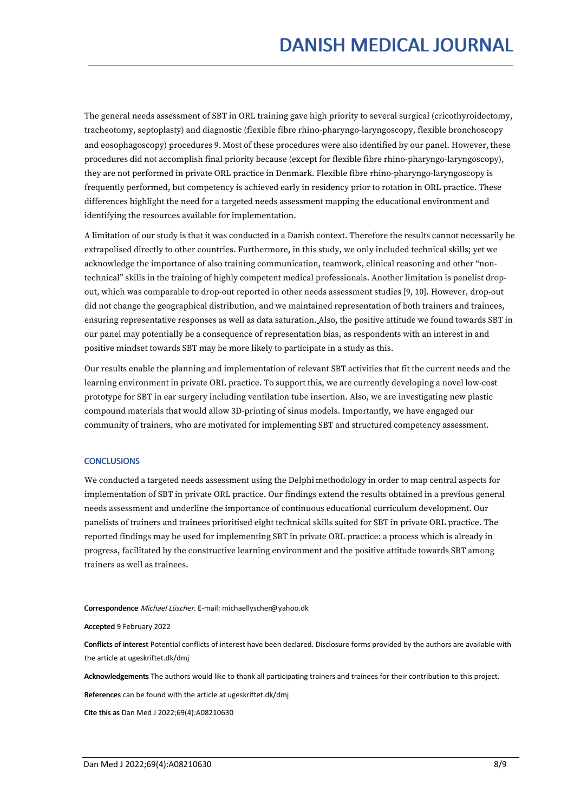The general needs assessment of SBT in ORL training gave high priority to several surgical (cricothyroidectomy, tracheotomy, septoplasty) and diagnostic (flexible fibre rhino-pharyngo-laryngoscopy, flexible bronchoscopy and eosophagoscopy) procedures 9. Most of these procedures were also identified by our panel. However, these procedures did not accomplish final priority because (except for flexible fibre rhino-pharyngo-laryngoscopy), they are not performed in private ORL practice in Denmark. Flexible fibre rhino-pharyngo-laryngoscopy is frequently performed, but competency is achieved early in residency prior to rotation in ORL practice. These differences highlight the need for a targeted needs assessment mapping the educational environment and identifying the resources available for implementation.

A limitation of our study is that it was conducted in a Danish context. Therefore the results cannot necessarily be extrapolised directly to other countries. Furthermore, in this study, we only included technical skills; yet we acknowledge the importance of also training communication, teamwork, clinical reasoning and other "nontechnical" skills in the training of highly competent medical professionals. Another limitation is panelist drop out, which was comparable to drop-out reported in other needs assessment studies [9, 10]. However, drop-out did not change the geographical distribution, and we maintained representation of both trainers and trainees, ensuring representative responses as well as data saturation. Also, the positive attitude we found towards SBT in our panel may potentially be a consequence of representation bias, as respondents with an interest in and positive mindset towards SBT may be more likely to participate in a study as this.

Our results enable the planning and implementation of relevant SBT activities that fit the current needs and the learning environment in private ORL practice. To support this, we are currently developing a novel low-cost prototype for SBT in ear surgery including ventilation tube insertion. Also, we are investigating new plastic compound materials that would allow 3D-printing of sinus models. Importantly, we have engaged our community of trainers, who are motivated for implementing SBT and structured competency assessment.

#### **CONCLUSIONS**

We conducted a targeted needs assessment using the Delphi methodology in order to map central aspects for implementation of SBT in private ORL practice. Our findings extend the results obtained in a previous general needs assessment and underline the importance of continuous educational curriculum development. Our panelists of trainers and trainees prioritised eight technical skills suited for SBT in private ORL practice. The reported findings may be used for implementing SBT in private ORL practice: a process which is already in progress, facilitated by the constructive learning environment and the positive attitude towards SBT among trainers as well as trainees.

#### Correspondence Michael Lüscher. E-mail: michaellyscher@yahoo.dk

Accepted 9 February 2022

Conflicts of interest Potential conflicts of interest have been declared. Disclosure forms provided by the authors are available with the article at ugeskriftet.dk/dmj

Acknowledgements The authors would like to thank all participating trainers and trainees for their contribution to this project.

References can be found with the article at ugeskriftet.dk/dmj

Cite this as Dan Med J 2022;69(4):A08210630